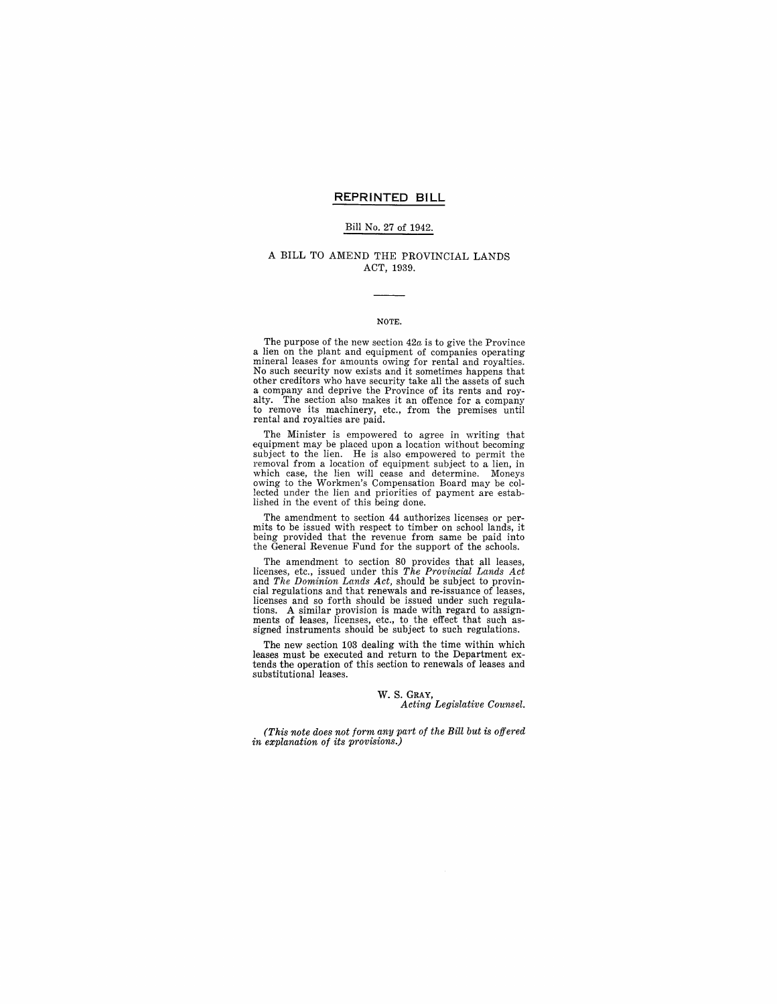### **REPRINTED BILL**

#### Bill No. 27 of 1942.

## A BILL TO AMEND THE PROVINCIAL LANDS ACT, 1939.

## NOTE.

The purpose of the new section *42a* is to give the Province a lien on the plant and equipment of companies operating mineral leases for amounts owing for rental and royalties. No such security now exists and it sometimes happens that other creditors who have security take all the assets of such a company and deprive the Province of its rents and royalty. The section also makes it an offence for a company to remove its machinery, etc., from the premises until rental and royalties are paid.

The Minister is empowered to agree in writing that equipment may be placed upon a location without becoming subject to the lien. He is also empowered to permit the removal from a location of equipment subject to a lien, in which case, the lien will cease and determine. Moneys owing to the Workmen's Compensation Board may be collected under the lien and priorities of payment are established in the event of this being done.

The amendment to section 44 authorizes licenses or permits to be issued with respect to timber on school lands, it being provided that the revenue from same be paid into the General Revenue Fund for the support of the schools.

The amendment to section 80 provides that all leases, licenses, etc., issued under this *The Provincial Lands Act*  and *The Dominion Lands Act,* should be subject to provincial regulations and that renewals and re-issuance of leases, licenses and so forth should be issued under such regulations. A similar provision is made with regard to assign-<br>ments of leases, licenses, etc., to the effect that such assigned instruments should be subject to such regulations.

The new section 103 dealing with the time within which leases must be executed and return to the Department ex- tends the operation of this section to renewals of leases and substitutional leases.

#### W. S. GRAY,

*Acting Legislative Counsel.* 

*(This note does not form any part of the Bill but is offered in explanation of its provisions.)*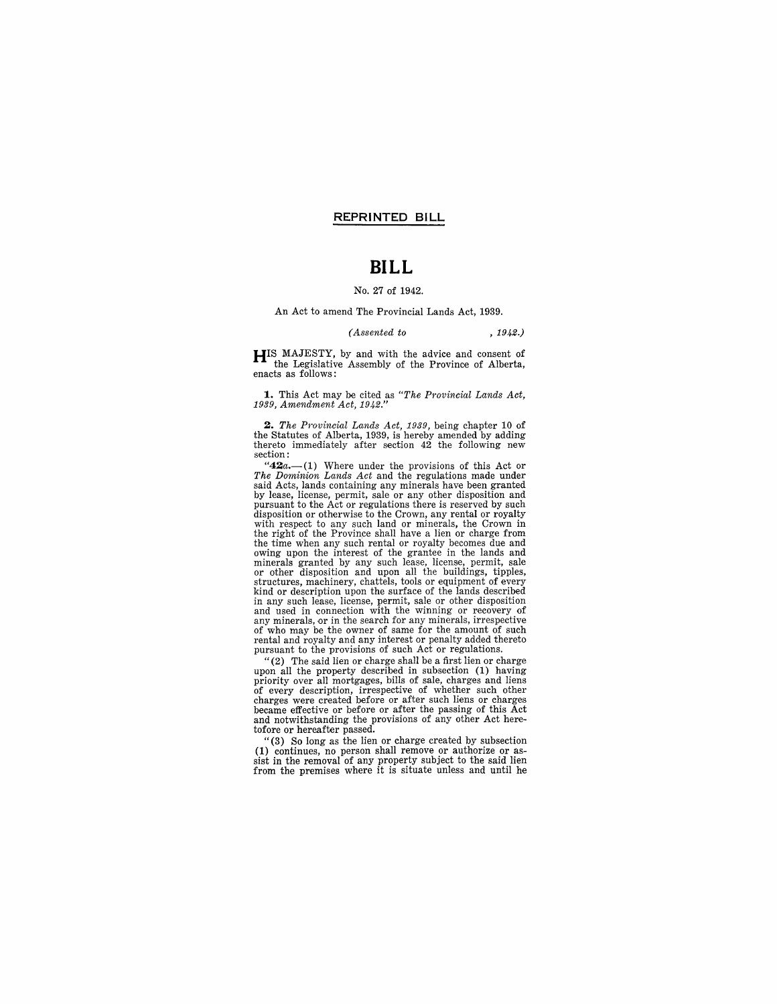## **REPRINTED BILL**

## **BILL**

## No. 27 of 1942.

#### An Act to amend The Provincial Lands Act, 1939.

#### *(Assented to* , 1942.)

**HIS** MAJESTY, by and with the advice and consent of the Legislative Assembly of the Province of Alberta, enacts as follows:

**1.** This Act may be cited as *"The Provincial Lands Act, 1939, Amendment Act, 1942."* 

*2. The Provincial Lands Act,* 1939, being chapter 10 of the Statutes of Alberta, 1939, is hereby amended by adding thereto immediately after section 42 the following new section:

"42a.-(1) Where under the provisions of this Act or *The Dominion Lands Act* and the regulations made under said Acts, lands containing any minerals have been granted by lease, license, permit, sale or any other disposition and pursuant to the Act or regulations there is reserved by such disposition or otherwise to the Crown, any rental or royalty with respect to any such land or minerals, the Crown in the right of the Province shall have a lien or charge from the time when any such rental or royalty becomes due and owing upon the interest of the grantee in the lands and minerals granted by any such lease, license, permit, sale or other disposition and upon all the buildings, tipples, structures, machinery, chattels, tools or equipment of every<br>kind or description upon the surface of the lands described<br>in any such lease, license, permit, sale or other disposition<br>and used in connection with the winning of who may be the owner of same for the amount of such rental and royalty and any interest or penalty added thereto pursuant to the provisions of such Act or regulations.

"(2) The said lien or charge shall be a first lien or charge upon all the property described in subsection (1) having<br>priority over all mortgages, bills of sale, charges and liens<br>of every description, irrespective of whether such other<br>charges were created before or after such lien became effective or before or after the passing of this Act and notwithstanding the provisions of any other Act heretofore or hereafter passed.

"(3) So long as the lien or charge created by subsection (1) continues, no person shall remove or authorize or as- sist in the removal of any property subject to the said lien from the premises where it is situate unless and until he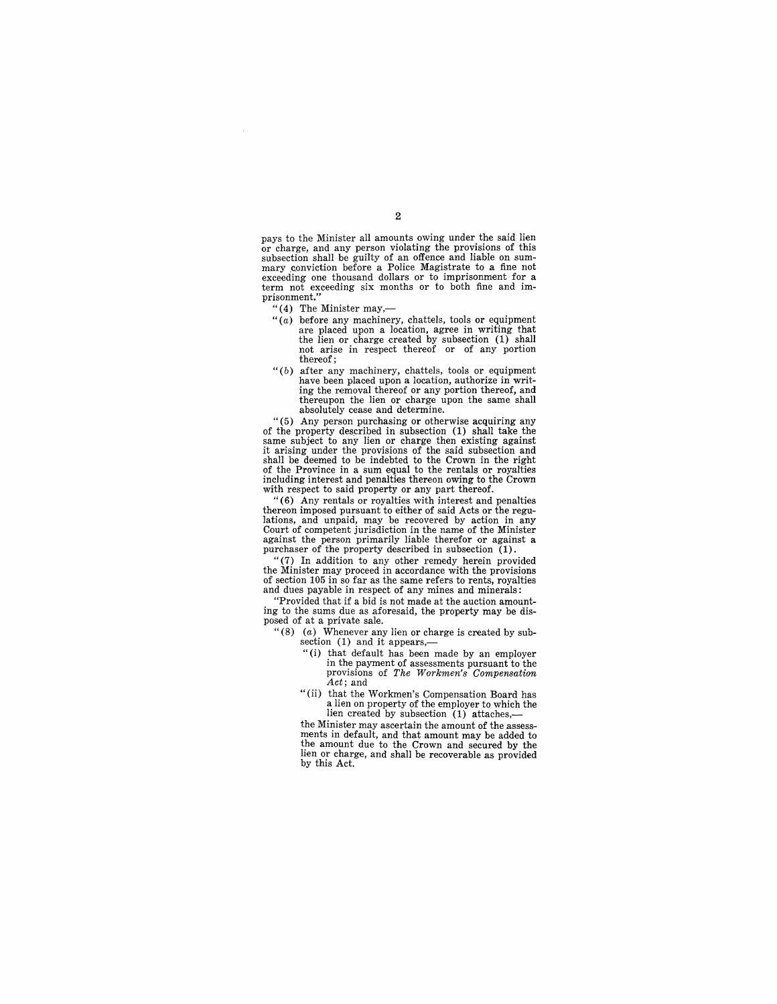pays to the Minister all amounts owing under the said lien or charge, and any person violating the provisions of this mary conviction before a Police Magistrate to a fine not exceeding one thousand dollars or to imprisonment for a term not exceeding six months or to both fine and imprisonment.'

- 
- "(4) The Minister may,— $(1)$  of the Minister may, chattels, tools or equipment "(a) before any machinery, chattels, tools or equipment are placed upon a location, agree in writing that the lien or charge created by subsection (1) shall not arise in respect thereof or of any portion thereof;
- " $(b)$  after any machinery, chattels, tools or equipment have been placed upon a location, authorize in writing the removal thereof or any portion thereof, and thereupon the lien or charge upon the same shall absolutely cease and determine.

" (5) Any person purchasing or otherwise acquiring any same subject to any lien or charge then existing against it arising under the provisions of the said subsection and shall be deemed to be indebted to the Crown in the right of the Province in a sum equal to the rentals or royalties including interest and penalties thereon owing to the Crown with respect to said property or any part thereof.

"(6) Any rentals or royalties with interest and penalties thereon imposed pursuant to either of said Acts or the regu-lations, and unpaid, may be recovered by action in any Court of competent jurisdiction in the name of the Minister against the person primarily liable therefor or against a purchaser of the property described in subsection (1).

"(7) In addition to any other remedy herein provided the Minister may proceed in accordance with the provisions of section 105 in so far as the same refers to rents, royalties and dues payable in respect of any mines and minerals:

"Provided that if a bid is not made at the auction amounting to the sums due as aforesaid, the property may be disposed of at a private sale.

- *"(8)* (a) Whenever any lien or charge is created by subsection (1) and it appears,-
	- "(i) that default has been made by an employer in the payment of assessments pursuant to the provisions of *The Workmen's Compensation Act*; and<br>"(ii) that the Workmen's Compensation Board has
	- a lien on property of the employer to which the lien created by subsection (1) attaches,—<br>the Minister may ascertain the amount of the assess-

ments in default, and that amount may be added to the amount due to the Crown and secured by the lien or charge, and shall be recoverable as provided by this Act.

 $\overline{2}$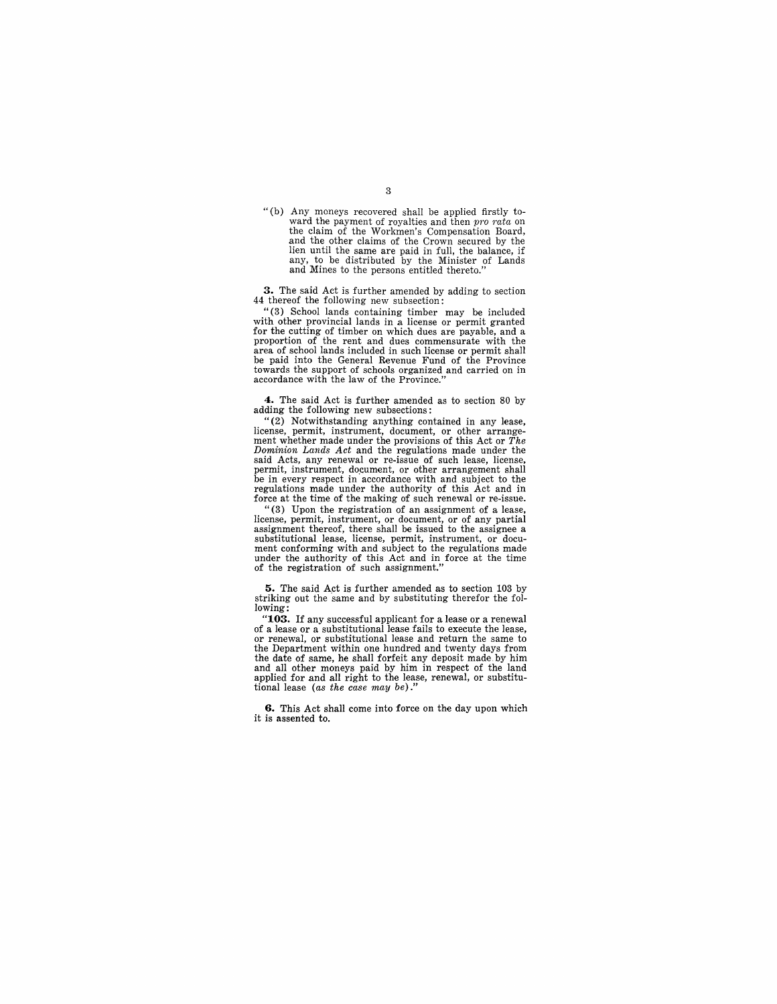"(b) Any moneys recovered shall be applied firstly to-<br>ward the payment of royalties and then *pro rata* on the claim of the Workmen's Compensation Board, and the other claims of the Crown secured by the lien until the same are paid in full, the balance, if any, to be distributed by the Minister of Lands and Mines to the persons entitled thereto."

**3.** The said Act is further amended by adding to section 44 thereof the following new subsection:

"(3) School lands containing timber may be included with other provincial lands in a license or permit granted for the cutting of timber on which dues are payable, and a proportion of the rent and dues commensurate with the area of school lands included in such license or permit shall be paid into the General Revenue Fund of the Province towards the support of schools organized and carried on in accordance with the law of the Province."

**4.** The said Act is further amended as to section 80 by adding the following new subsections:

"(2) Notwithstanding anything contained in any lease, license, permit, instrument, document, or other arrangement whether made under the provisions of this Act or *The Dominion Lands Act* and the regulations made under the said Acts, any renewal or re-issue of such lease, license, permit, instrument, document, or other arrangement shall<br>be in every respect in accordance with and subject to the regulations made under the authority of this Act and in force at the time of the making of such renewal or re-issue.

"(3) Upon the registration of an assignment of a lease, license, permit, instrument, or document, or of any partial substitutional lease, license, permit, instrument, or document conforming with and subject to the regulations made under the authority of this Act and in force at the time of the registration of such assignment."

**5.** The said Act is further amended as to section 103 by striking out the same and by substituting therefor the following:

**"103.** If any successful applicant for a lease or a renewal of a lease or a substitutional lease fails to execute the lease, or renewal, or substitutional lease and return the same to the Department within one hundred and twenty days from the date of same, he shall forfeit any deposit made.by him and all other moneys paid by him in respect of the land applied for and all right to the lease, renewal, or substitutional lease *(as the case may be)."* 

**6.** This Act shall come into force on the day upon which it is assented to.